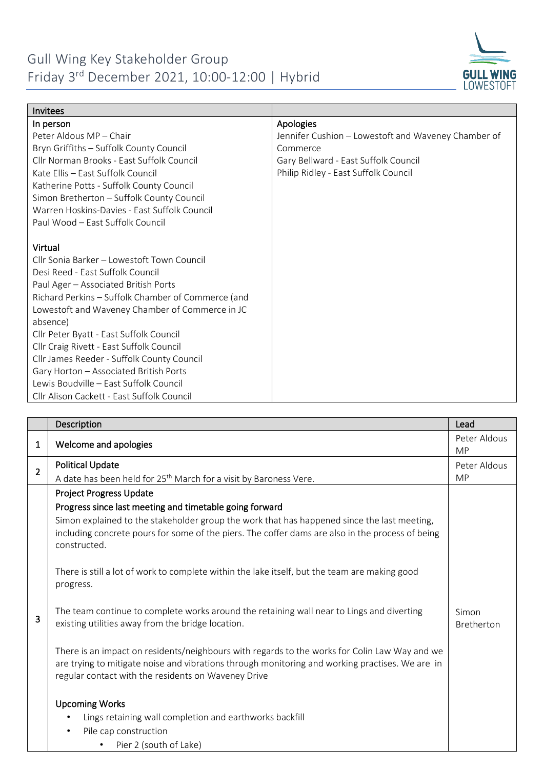## Gull Wing Key Stakeholder Group Friday 3rd December 2021, 10:00-12:00 | Hybrid



| Invitees                                           |                                                     |
|----------------------------------------------------|-----------------------------------------------------|
| In person                                          | Apologies                                           |
| Peter Aldous MP - Chair                            | Jennifer Cushion - Lowestoft and Waveney Chamber of |
| Bryn Griffiths - Suffolk County Council            | Commerce                                            |
| Cllr Norman Brooks - East Suffolk Council          | Gary Bellward - East Suffolk Council                |
| Kate Ellis - East Suffolk Council                  | Philip Ridley - East Suffolk Council                |
| Katherine Potts - Suffolk County Council           |                                                     |
| Simon Bretherton - Suffolk County Council          |                                                     |
| Warren Hoskins-Davies - East Suffolk Council       |                                                     |
| Paul Wood – East Suffolk Council                   |                                                     |
|                                                    |                                                     |
| Virtual                                            |                                                     |
| Cllr Sonia Barker – Lowestoft Town Council         |                                                     |
| Desi Reed - East Suffolk Council                   |                                                     |
| Paul Ager - Associated British Ports               |                                                     |
| Richard Perkins - Suffolk Chamber of Commerce (and |                                                     |
| Lowestoft and Waveney Chamber of Commerce in JC    |                                                     |
| absence)                                           |                                                     |
| Cllr Peter Byatt - East Suffolk Council            |                                                     |
| Cllr Craig Rivett - East Suffolk Council           |                                                     |
| Cllr James Reeder - Suffolk County Council         |                                                     |
| Gary Horton - Associated British Ports             |                                                     |
| Lewis Boudville - East Suffolk Council             |                                                     |
| Cllr Alison Cackett - East Suffolk Council         |                                                     |

|                | Description                                                                                                                                                                                                                                             | Lead                       |
|----------------|---------------------------------------------------------------------------------------------------------------------------------------------------------------------------------------------------------------------------------------------------------|----------------------------|
| 1              | Welcome and apologies                                                                                                                                                                                                                                   | Peter Aldous<br><b>MP</b>  |
| $\overline{2}$ | <b>Political Update</b>                                                                                                                                                                                                                                 | Peter Aldous               |
|                | A date has been held for 25 <sup>th</sup> March for a visit by Baroness Vere.                                                                                                                                                                           | <b>MP</b>                  |
|                | <b>Project Progress Update</b>                                                                                                                                                                                                                          |                            |
|                | Progress since last meeting and timetable going forward                                                                                                                                                                                                 |                            |
|                | Simon explained to the stakeholder group the work that has happened since the last meeting,                                                                                                                                                             |                            |
| 3              | including concrete pours for some of the piers. The coffer dams are also in the process of being<br>constructed.                                                                                                                                        |                            |
|                | There is still a lot of work to complete within the lake itself, but the team are making good<br>progress.                                                                                                                                              |                            |
|                | The team continue to complete works around the retaining wall near to Lings and diverting<br>existing utilities away from the bridge location.                                                                                                          | Simon<br><b>Bretherton</b> |
|                | There is an impact on residents/neighbours with regards to the works for Colin Law Way and we<br>are trying to mitigate noise and vibrations through monitoring and working practises. We are in<br>regular contact with the residents on Waveney Drive |                            |
|                | <b>Upcoming Works</b>                                                                                                                                                                                                                                   |                            |
|                | Lings retaining wall completion and earthworks backfill                                                                                                                                                                                                 |                            |
|                | Pile cap construction<br>$\bullet$                                                                                                                                                                                                                      |                            |
|                | Pier 2 (south of Lake)                                                                                                                                                                                                                                  |                            |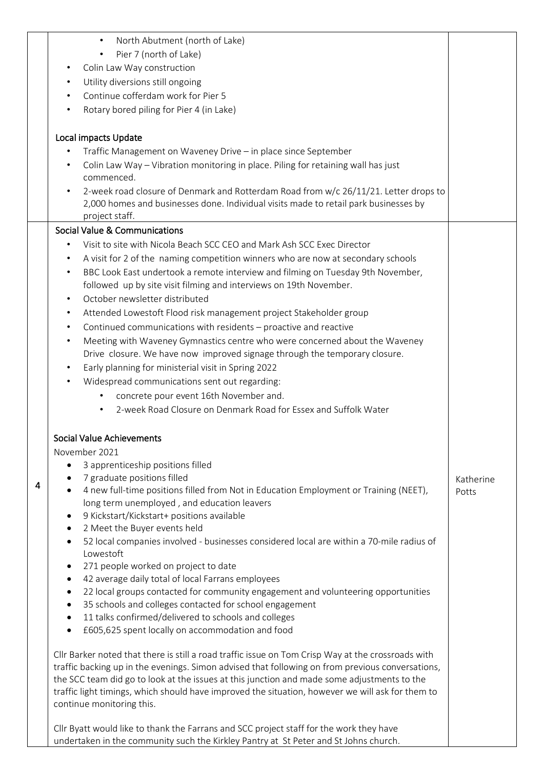|   | North Abutment (north of Lake)<br>$\bullet$                                                                                                                                     |                    |
|---|---------------------------------------------------------------------------------------------------------------------------------------------------------------------------------|--------------------|
|   | Pier 7 (north of Lake)                                                                                                                                                          |                    |
|   | Colin Law Way construction<br>$\bullet$                                                                                                                                         |                    |
|   | Utility diversions still ongoing<br>$\bullet$                                                                                                                                   |                    |
|   | Continue cofferdam work for Pier 5<br>$\bullet$                                                                                                                                 |                    |
|   |                                                                                                                                                                                 |                    |
|   | Rotary bored piling for Pier 4 (in Lake)<br>$\bullet$                                                                                                                           |                    |
|   | Local impacts Update                                                                                                                                                            |                    |
|   | $\bullet$                                                                                                                                                                       |                    |
|   | Traffic Management on Waveney Drive - in place since September                                                                                                                  |                    |
|   | Colin Law Way - Vibration monitoring in place. Piling for retaining wall has just<br>$\bullet$<br>commenced.                                                                    |                    |
|   | 2-week road closure of Denmark and Rotterdam Road from w/c 26/11/21. Letter drops to<br>$\bullet$                                                                               |                    |
|   | 2,000 homes and businesses done. Individual visits made to retail park businesses by                                                                                            |                    |
|   | project staff.                                                                                                                                                                  |                    |
|   | Social Value & Communications                                                                                                                                                   |                    |
|   | Visit to site with Nicola Beach SCC CEO and Mark Ash SCC Exec Director<br>$\bullet$                                                                                             |                    |
|   | A visit for 2 of the naming competition winners who are now at secondary schools<br>$\bullet$                                                                                   |                    |
|   | BBC Look East undertook a remote interview and filming on Tuesday 9th November,<br>$\bullet$                                                                                    |                    |
|   | followed up by site visit filming and interviews on 19th November.                                                                                                              |                    |
|   | October newsletter distributed<br>$\bullet$                                                                                                                                     |                    |
|   | Attended Lowestoft Flood risk management project Stakeholder group<br>$\bullet$                                                                                                 |                    |
|   | Continued communications with residents - proactive and reactive<br>$\bullet$                                                                                                   |                    |
|   | $\bullet$                                                                                                                                                                       |                    |
|   | Meeting with Waveney Gymnastics centre who were concerned about the Waveney                                                                                                     |                    |
|   | Drive closure. We have now improved signage through the temporary closure.                                                                                                      |                    |
|   | Early planning for ministerial visit in Spring 2022<br>$\bullet$                                                                                                                |                    |
|   | Widespread communications sent out regarding:<br>٠                                                                                                                              |                    |
|   | concrete pour event 16th November and.                                                                                                                                          |                    |
|   | 2-week Road Closure on Denmark Road for Essex and Suffolk Water                                                                                                                 |                    |
|   | Social Value Achievements                                                                                                                                                       |                    |
|   | November 2021                                                                                                                                                                   |                    |
|   | 3 apprenticeship positions filled                                                                                                                                               |                    |
|   | 7 graduate positions filled<br>$\bullet$                                                                                                                                        |                    |
| 4 | 4 new full-time positions filled from Not in Education Employment or Training (NEET),                                                                                           | Katherine<br>Potts |
|   | long term unemployed, and education leavers                                                                                                                                     |                    |
|   | 9 Kickstart/Kickstart+ positions available<br>$\bullet$                                                                                                                         |                    |
|   | 2 Meet the Buyer events held<br>$\bullet$                                                                                                                                       |                    |
|   | 52 local companies involved - businesses considered local are within a 70-mile radius of<br>$\bullet$                                                                           |                    |
|   | Lowestoft                                                                                                                                                                       |                    |
|   | 271 people worked on project to date<br>٠                                                                                                                                       |                    |
|   | 42 average daily total of local Farrans employees<br>$\bullet$                                                                                                                  |                    |
|   | 22 local groups contacted for community engagement and volunteering opportunities<br>$\bullet$                                                                                  |                    |
|   | 35 schools and colleges contacted for school engagement<br>٠                                                                                                                    |                    |
|   | 11 talks confirmed/delivered to schools and colleges<br>$\bullet$                                                                                                               |                    |
|   | £605,625 spent locally on accommodation and food                                                                                                                                |                    |
|   |                                                                                                                                                                                 |                    |
|   | Cllr Barker noted that there is still a road traffic issue on Tom Crisp Way at the crossroads with                                                                              |                    |
|   | traffic backing up in the evenings. Simon advised that following on from previous conversations,                                                                                |                    |
|   | the SCC team did go to look at the issues at this junction and made some adjustments to the                                                                                     |                    |
|   | traffic light timings, which should have improved the situation, however we will ask for them to                                                                                |                    |
|   | continue monitoring this.                                                                                                                                                       |                    |
|   |                                                                                                                                                                                 |                    |
|   | Cllr Byatt would like to thank the Farrans and SCC project staff for the work they have<br>undertaken in the community such the Kirkley Pantry at St Peter and St Johns church. |                    |
|   |                                                                                                                                                                                 |                    |